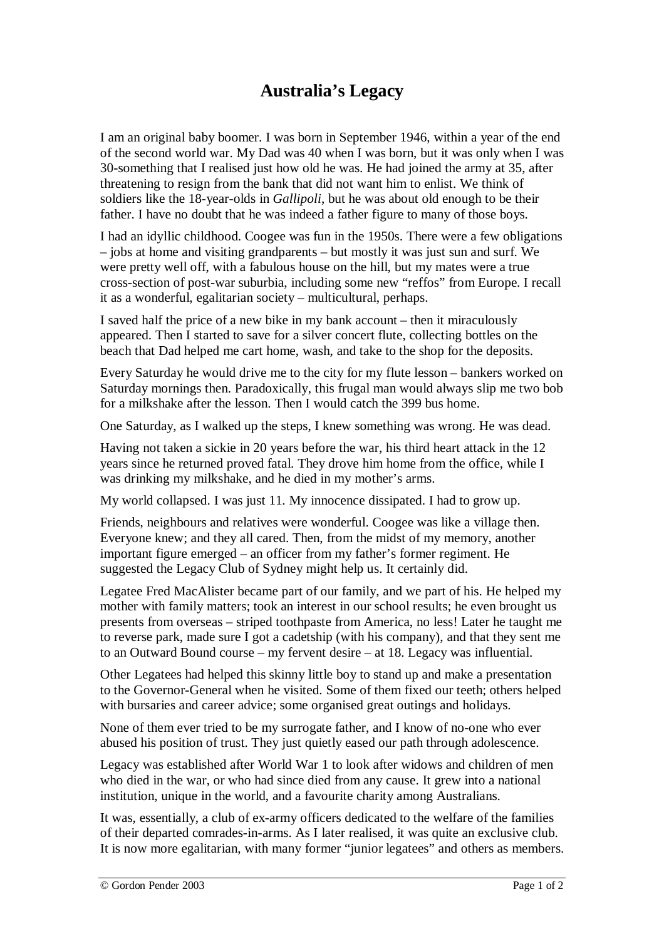## **Australia's Legacy**

I am an original baby boomer. I was born in September 1946, within a year of the end of the second world war. My Dad was 40 when I was born, but it was only when I was 30-something that I realised just how old he was. He had joined the army at 35, after threatening to resign from the bank that did not want him to enlist. We think of soldiers like the 18-year-olds in *Gallipoli*, but he was about old enough to be their father. I have no doubt that he was indeed a father figure to many of those boys.

I had an idyllic childhood. Coogee was fun in the 1950s. There were a few obligations – jobs at home and visiting grandparents – but mostly it was just sun and surf. We were pretty well off, with a fabulous house on the hill, but my mates were a true cross-section of post-war suburbia, including some new "reffos" from Europe. I recall it as a wonderful, egalitarian society – multicultural, perhaps.

I saved half the price of a new bike in my bank account – then it miraculously appeared. Then I started to save for a silver concert flute, collecting bottles on the beach that Dad helped me cart home, wash, and take to the shop for the deposits.

Every Saturday he would drive me to the city for my flute lesson – bankers worked on Saturday mornings then. Paradoxically, this frugal man would always slip me two bob for a milkshake after the lesson. Then I would catch the 399 bus home.

One Saturday, as I walked up the steps, I knew something was wrong. He was dead.

Having not taken a sickie in 20 years before the war, his third heart attack in the 12 years since he returned proved fatal. They drove him home from the office, while I was drinking my milkshake, and he died in my mother's arms.

My world collapsed. I was just 11. My innocence dissipated. I had to grow up.

Friends, neighbours and relatives were wonderful. Coogee was like a village then. Everyone knew; and they all cared. Then, from the midst of my memory, another important figure emerged – an officer from my father's former regiment. He suggested the Legacy Club of Sydney might help us. It certainly did.

Legatee Fred MacAlister became part of our family, and we part of his. He helped my mother with family matters; took an interest in our school results; he even brought us presents from overseas – striped toothpaste from America, no less! Later he taught me to reverse park, made sure I got a cadetship (with his company), and that they sent me to an Outward Bound course – my fervent desire – at 18. Legacy was influential.

Other Legatees had helped this skinny little boy to stand up and make a presentation to the Governor-General when he visited. Some of them fixed our teeth; others helped with bursaries and career advice; some organised great outings and holidays.

None of them ever tried to be my surrogate father, and I know of no-one who ever abused his position of trust. They just quietly eased our path through adolescence.

Legacy was established after World War 1 to look after widows and children of men who died in the war, or who had since died from any cause. It grew into a national institution, unique in the world, and a favourite charity among Australians.

It was, essentially, a club of ex-army officers dedicated to the welfare of the families of their departed comrades-in-arms. As I later realised, it was quite an exclusive club. It is now more egalitarian, with many former "junior legatees" and others as members.